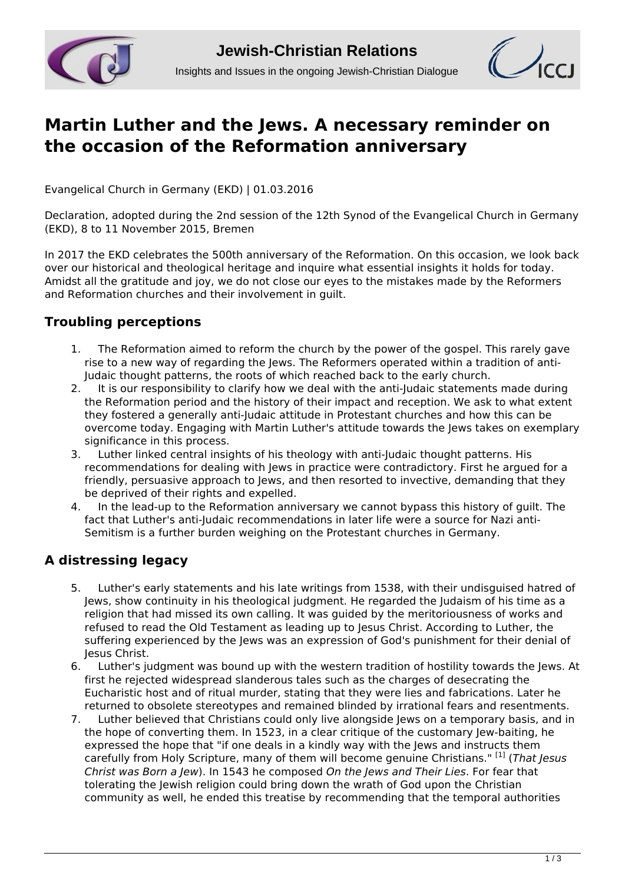



# **[Martin Luther and the Jews. A necessary reminder on](http://www.jcrelations.net/Martin_Luther_and_the_Jews__A_necessary_reminder_on_the_occasion_of_the_Reformat.5286.0.html?L=3) [the occasion of the Reformation anniversary](http://www.jcrelations.net/Martin_Luther_and_the_Jews__A_necessary_reminder_on_the_occasion_of_the_Reformat.5286.0.html?L=3)**

Evangelical Church in Germany (EKD) | 01.03.2016

Declaration, adopted during the 2nd session of the 12th Synod of the Evangelical Church in Germany (EKD), 8 to 11 November 2015, Bremen

In 2017 the EKD celebrates the 500th anniversary of the Reformation. On this occasion, we look back over our historical and theological heritage and inquire what essential insights it holds for today. Amidst all the gratitude and joy, we do not close our eyes to the mistakes made by the Reformers and Reformation churches and their involvement in guilt.

## **Troubling perceptions**

- 1. The Reformation aimed to reform the church by the power of the gospel. This rarely gave rise to a new way of regarding the Jews. The Reformers operated within a tradition of anti-Judaic thought patterns, the roots of which reached back to the early church.<br>2. It is our responsibility to clarify how we deal with the anti-ludaic statement
- 2. It is our responsibility to clarify how we deal with the anti-Judaic statements made during the Reformation period and the history of their impact and reception. We ask to what extent they fostered a generally anti-Judaic attitude in Protestant churches and how this can be overcome today. Engaging with Martin Luther's attitude towards the Jews takes on exemplary significance in this process.
- 3. Luther linked central insights of his theology with anti-Judaic thought patterns. His recommendations for dealing with Jews in practice were contradictory. First he argued for a friendly, persuasive approach to Jews, and then resorted to invective, demanding that they be deprived of their rights and expelled.
- 4. In the lead-up to the Reformation anniversary we cannot bypass this history of guilt. The fact that Luther's anti-Judaic recommendations in later life were a source for Nazi anti-Semitism is a further burden weighing on the Protestant churches in Germany.

## **A distressing legacy**

- 5. Luther's early statements and his late writings from 1538, with their undisguised hatred of Jews, show continuity in his theological judgment. He regarded the Judaism of his time as a religion that had missed its own calling. It was guided by the meritoriousness of works and refused to read the Old Testament as leading up to Jesus Christ. According to Luther, the suffering experienced by the Jews was an expression of God's punishment for their denial of Jesus Christ.
- 6. Luther's judgment was bound up with the western tradition of hostility towards the Jews. At first he rejected widespread slanderous tales such as the charges of desecrating the Eucharistic host and of ritual murder, stating that they were lies and fabrications. Later he returned to obsolete stereotypes and remained blinded by irrational fears and resentments.
- 7. Luther believed that Christians could only live alongside Jews on a temporary basis, and in the hope of converting them. In 1523, in a clear critique of the customary Jew-baiting, he expressed the hope that "if one deals in a kindly way with the Jews and instructs them carefully from Holy Scripture, many of them will become genuine Christians." [1] (*That Jesus Christ was Born a Jew*). In 1543 he composed *On the Jews and Their Lies*. For fear that tolerating the Jewish religion could bring down the wrath of God upon the Christian community as well, he ended this treatise by recommending that the temporal authorities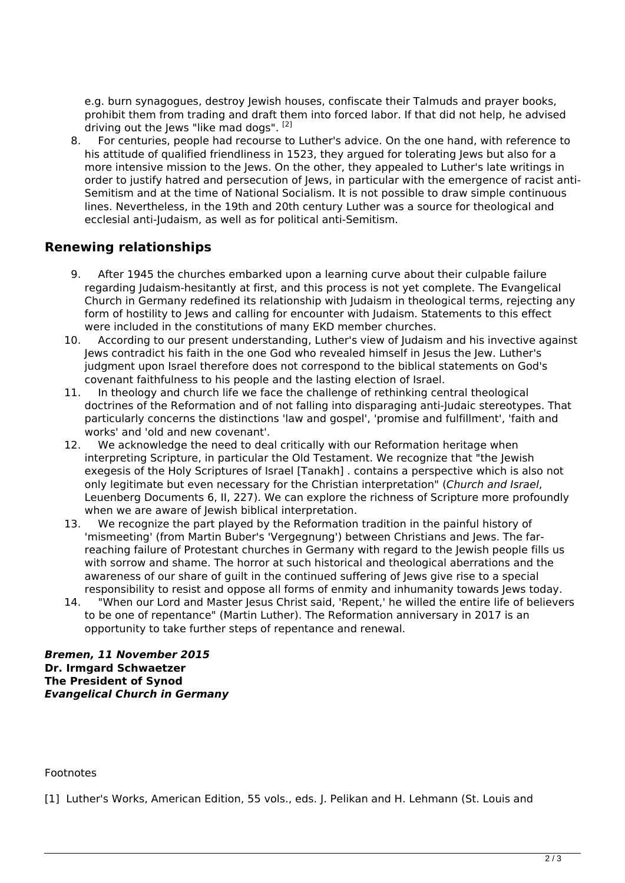e.g. burn synagogues, destroy Jewish houses, confiscate their Talmuds and prayer books, prohibit them from trading and draft them into forced labor. If that did not help, he advised driving out the Jews "like mad dogs". [2]

8. For centuries, people had recourse to Luther's advice. On the one hand, with reference to his attitude of qualified friendliness in 1523, they argued for tolerating Jews but also for a more intensive mission to the Jews. On the other, they appealed to Luther's late writings in order to justify hatred and persecution of Jews, in particular with the emergence of racist anti-Semitism and at the time of National Socialism. It is not possible to draw simple continuous lines. Nevertheless, in the 19th and 20th century Luther was a source for theological and ecclesial anti-Judaism, as well as for political anti-Semitism.

#### **Renewing relationships**

- 9. After 1945 the churches embarked upon a learning curve about their culpable failure regarding Judaism-hesitantly at first, and this process is not yet complete. The Evangelical Church in Germany redefined its relationship with Judaism in theological terms, rejecting any form of hostility to Jews and calling for encounter with Judaism. Statements to this effect were included in the constitutions of many EKD member churches.
- 10. According to our present understanding, Luther's view of Judaism and his invective against Jews contradict his faith in the one God who revealed himself in Jesus the Jew. Luther's judgment upon Israel therefore does not correspond to the biblical statements on God's covenant faithfulness to his people and the lasting election of Israel.
- 11. In theology and church life we face the challenge of rethinking central theological doctrines of the Reformation and of not falling into disparaging anti-Judaic stereotypes. That particularly concerns the distinctions 'law and gospel', 'promise and fulfillment', 'faith and works' and 'old and new covenant'.
- 12. We acknowledge the need to deal critically with our Reformation heritage when interpreting Scripture, in particular the Old Testament. We recognize that "the Jewish exegesis of the Holy Scriptures of Israel [Tanakh] . contains a perspective which is also not only legitimate but even necessary for the Christian interpretation" (*Church and Israel*, Leuenberg Documents 6, II, 227). We can explore the richness of Scripture more profoundly when we are aware of Jewish biblical interpretation.
- 13. We recognize the part played by the Reformation tradition in the painful history of 'mismeeting' (from Martin Buber's 'Vergegnung') between Christians and Jews. The farreaching failure of Protestant churches in Germany with regard to the Jewish people fills us with sorrow and shame. The horror at such historical and theological aberrations and the awareness of our share of guilt in the continued suffering of Jews give rise to a special responsibility to resist and oppose all forms of enmity and inhumanity towards Jews today.
- 14. "When our Lord and Master Jesus Christ said, 'Repent,' he willed the entire life of believers to be one of repentance" (Martin Luther). The Reformation anniversary in 2017 is an opportunity to take further steps of repentance and renewal.

*Bremen, 11 November 2015* **Dr. Irmgard Schwaetzer The President of Synod** *Evangelical Church in Germany*

#### Footnotes

[1] Luther's Works, American Edition, 55 vols., eds. J. Pelikan and H. Lehmann (St. Louis and